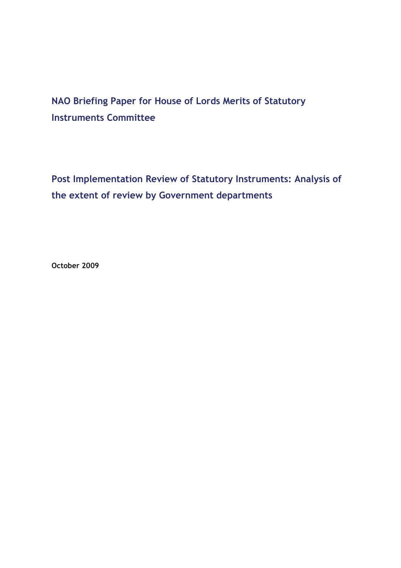# **NAO Briefing Paper for House of Lords Merits of Statutory Instruments Committee**

**Post Implementation Review of Statutory Instruments: Analysis of the extent of review by Government departments**

**October 2009**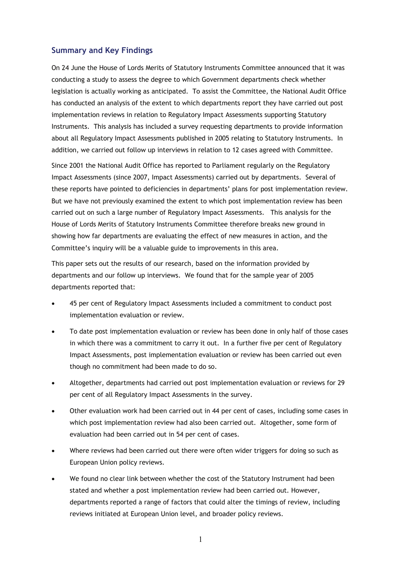#### **Summary and Key Findings**

On 24 June the House of Lords Merits of Statutory Instruments Committee announced that it was conducting a study to assess the degree to which Government departments check whether legislation is actually working as anticipated. To assist the Committee, the National Audit Office has conducted an analysis of the extent to which departments report they have carried out post implementation reviews in relation to Regulatory Impact Assessments supporting Statutory Instruments. This analysis has included a survey requesting departments to provide information about all Regulatory Impact Assessments published in 2005 relating to Statutory Instruments. In addition, we carried out follow up interviews in relation to 12 cases agreed with Committee.

Since 2001 the National Audit Office has reported to Parliament regularly on the Regulatory Impact Assessments (since 2007, Impact Assessments) carried out by departments. Several of these reports have pointed to deficiencies in departments' plans for post implementation review. But we have not previously examined the extent to which post implementation review has been carried out on such a large number of Regulatory Impact Assessments. This analysis for the House of Lords Merits of Statutory Instruments Committee therefore breaks new ground in showing how far departments are evaluating the effect of new measures in action, and the Committee's inquiry will be a valuable guide to improvements in this area.

This paper sets out the results of our research, based on the information provided by departments and our follow up interviews. We found that for the sample year of 2005 departments reported that:

- 45 per cent of Regulatory Impact Assessments included a commitment to conduct post implementation evaluation or review.
- To date post implementation evaluation or review has been done in only half of those cases in which there was a commitment to carry it out. In a further five per cent of Regulatory Impact Assessments, post implementation evaluation or review has been carried out even though no commitment had been made to do so.
- Altogether, departments had carried out post implementation evaluation or reviews for 29 per cent of all Regulatory Impact Assessments in the survey.
- Other evaluation work had been carried out in 44 per cent of cases, including some cases in which post implementation review had also been carried out. Altogether, some form of evaluation had been carried out in 54 per cent of cases.
- Where reviews had been carried out there were often wider triggers for doing so such as European Union policy reviews.
- We found no clear link between whether the cost of the Statutory Instrument had been stated and whether a post implementation review had been carried out. However, departments reported a range of factors that could alter the timings of review, including reviews initiated at European Union level, and broader policy reviews.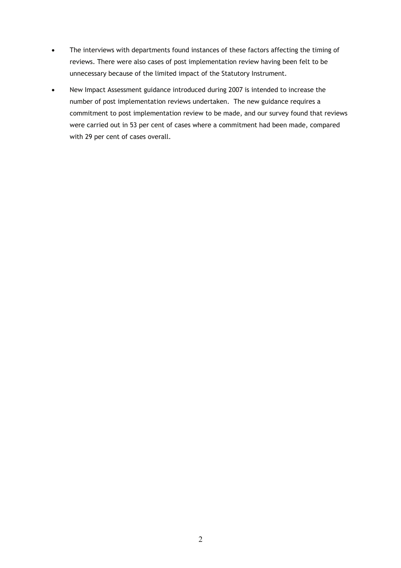- The interviews with departments found instances of these factors affecting the timing of reviews. There were also cases of post implementation review having been felt to be unnecessary because of the limited impact of the Statutory Instrument.
- New Impact Assessment guidance introduced during 2007 is intended to increase the number of post implementation reviews undertaken. The new guidance requires a commitment to post implementation review to be made, and our survey found that reviews were carried out in 53 per cent of cases where a commitment had been made, compared with 29 per cent of cases overall.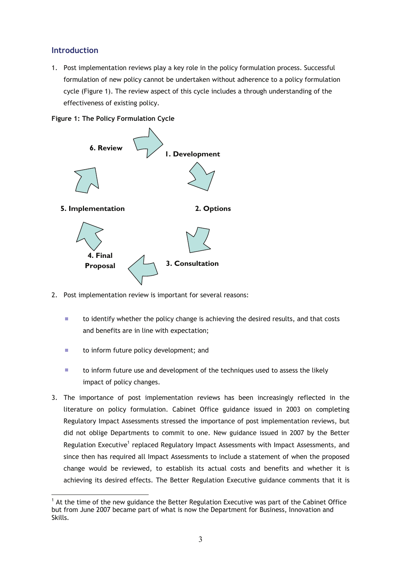# **Introduction**

1. Post implementation reviews play a key role in the policy formulation process. Successful formulation of new policy cannot be undertaken without adherence to a policy formulation cycle (Figure 1). The review aspect of this cycle includes a through understanding of the effectiveness of existing policy.





- 2. Post implementation review is important for several reasons:
	- $\mathbf{r}$ to identify whether the policy change is achieving the desired results, and that costs and benefits are in line with expectation;
	- Ì. to inform future policy development; and
	- $\overline{\phantom{a}}$ to inform future use and development of the techniques used to assess the likely impact of policy changes.
- 3. The importance of post implementation reviews has been increasingly reflected in the literature on policy formulation. Cabinet Office guidance issued in 2003 on completing Regulatory Impact Assessments stressed the importance of post implementation reviews, but did not oblige Departments to commit to one. New guidance issued in 2007 by the Better Regulation Executive<sup>1</sup> replaced Regulatory Impact Assessments with Impact Assessments, and since then has required all Impact Assessments to include a statement of when the proposed change would be reviewed, to establish its actual costs and benefits and whether it is achieving its desired effects. The Better Regulation Executive guidance comments that it is

 $\overline{a}$  $1$  At the time of the new guidance the Better Regulation Executive was part of the Cabinet Office but from June 2007 became part of what is now the Department for Business, Innovation and Skills.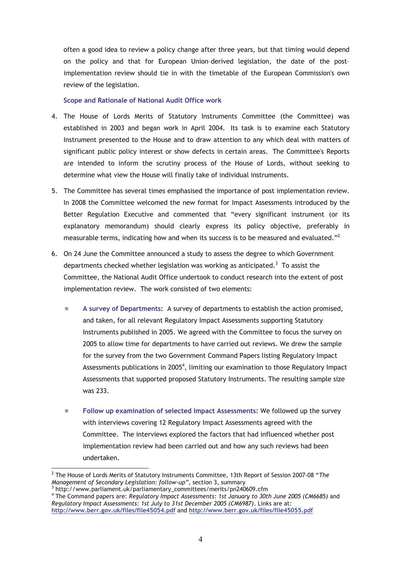often a good idea to review a policy change after three years, but that timing would depend on the policy and that for European Union–derived legislation, the date of the post– implementation review should tie in with the timetable of the European Commission's own review of the legislation.

#### **Scope and Rationale of National Audit Office work**

- 4. The House of Lords Merits of Statutory Instruments Committee (the Committee) was established in 2003 and began work in April 2004. Its task is to examine each Statutory Instrument presented to the House and to draw attention to any which deal with matters of significant public policy interest or show defects in certain areas. The Committee's Reports are intended to inform the scrutiny process of the House of Lords, without seeking to determine what view the House will finally take of individual instruments.
- 5. The Committee has several times emphasised the importance of post implementation review. In 2008 the Committee welcomed the new format for Impact Assessments introduced by the Better Regulation Executive and commented that "every significant instrument (or its explanatory memorandum) should clearly express its policy objective, preferably in measurable terms, indicating how and when its success is to be measured and evaluated."<sup>2</sup>
- 6. On 24 June the Committee announced a study to assess the degree to which Government departments checked whether legislation was working as anticipated.<sup>3</sup> To assist the Committee, the National Audit Office undertook to conduct research into the extent of post implementation review. The work consisted of two elements:
	- $\mathcal{L}_{\mathcal{A}}$ **A survey of Departments:** A survey of departments to establish the action promised, and taken, for all relevant Regulatory Impact Assessments supporting Statutory Instruments published in 2005. We agreed with the Committee to focus the survey on 2005 to allow time for departments to have carried out reviews. We drew the sample for the survey from the two Government Command Papers listing Regulatory Impact Assessments publications in 2005<sup>4</sup>, limiting our examination to those Regulatory Impact Assessments that supported proposed Statutory Instruments. The resulting sample size was 233.
	- ×. **Follow up examination of selected Impact Assessments**: We followed up the survey with interviews covering 12 Regulatory Impact Assessments agreed with the Committee. The interviews explored the factors that had influenced whether post implementation review had been carried out and how any such reviews had been undertaken.

 $\overline{a}$ 

<sup>2</sup> The House of Lords Merits of Statutory Instruments Committee, 13th Report of Session 2007-08 "*The Management of Secondary Legislation: follow-up"*, section 3, summary

http://www.parliament.uk/parliamentary\_committees/merits/pn240609.cfm

<sup>&</sup>lt;sup>4</sup> The Command papers are: *Regulatory Impact Assessments: 1st January to 30th June 2005 (CM6685) and Regulatory Impact Assessments: 1st July to 31st December 2005 (CM6987)*. Links are at: **http://www.berr.gov.uk/files/file45054.pdf** and **http://www.berr.gov.uk/files/file45055.pdf**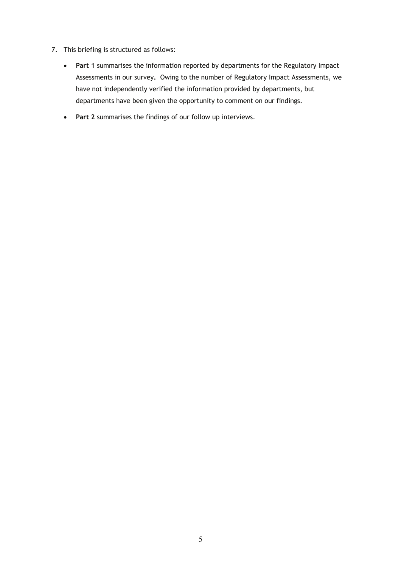- 7. This briefing is structured as follows:
	- **Part 1** summarises the information reported by departments for the Regulatory Impact Assessments in our survey**.** Owing to the number of Regulatory Impact Assessments, we have not independently verified the information provided by departments, but departments have been given the opportunity to comment on our findings.
	- **Part 2** summarises the findings of our follow up interviews.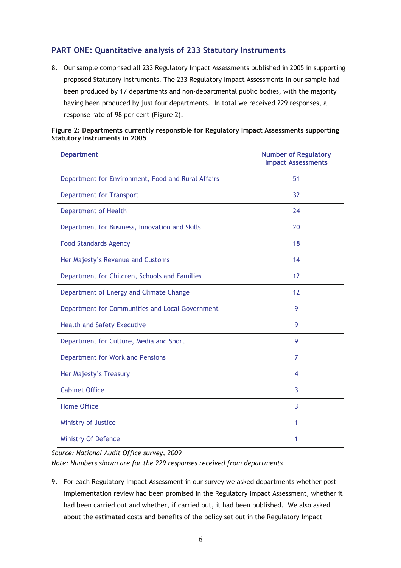# **PART ONE: Quantitative analysis of 233 Statutory Instruments**

8. Our sample comprised all 233 Regulatory Impact Assessments published in 2005 in supporting proposed Statutory Instruments. The 233 Regulatory Impact Assessments in our sample had been produced by 17 departments and non-departmental public bodies, with the majority having been produced by just four departments. In total we received 229 responses, a response rate of 98 per cent (Figure 2).

| Figure 2: Departments currently responsible for Regulatory Impact Assessments supporting |  |
|------------------------------------------------------------------------------------------|--|
| <b>Statutory Instruments in 2005</b>                                                     |  |

| <b>Department</b>                                  | <b>Number of Regulatory</b><br><b>Impact Assessments</b> |
|----------------------------------------------------|----------------------------------------------------------|
| Department for Environment, Food and Rural Affairs | 51                                                       |
| <b>Department for Transport</b>                    | 32                                                       |
| <b>Department of Health</b>                        | 24                                                       |
| Department for Business, Innovation and Skills     | 20                                                       |
| <b>Food Standards Agency</b>                       | 18                                                       |
| Her Majesty's Revenue and Customs                  | 14                                                       |
| Department for Children, Schools and Families      | 12                                                       |
| Department of Energy and Climate Change            | 12                                                       |
| Department for Communities and Local Government    | 9                                                        |
| <b>Health and Safety Executive</b>                 | 9                                                        |
| Department for Culture, Media and Sport            | 9                                                        |
| Department for Work and Pensions                   | $\overline{7}$                                           |
| Her Majesty's Treasury                             | 4                                                        |
| <b>Cabinet Office</b>                              | 3                                                        |
| <b>Home Office</b>                                 | 3                                                        |
| Ministry of Justice                                | 1                                                        |
| <b>Ministry Of Defence</b>                         | 1                                                        |

*Source: National Audit Office survey, 2009 Note: Numbers shown are for the 229 responses received from departments* 

9. For each Regulatory Impact Assessment in our survey we asked departments whether post implementation review had been promised in the Regulatory Impact Assessment, whether it had been carried out and whether, if carried out, it had been published. We also asked about the estimated costs and benefits of the policy set out in the Regulatory Impact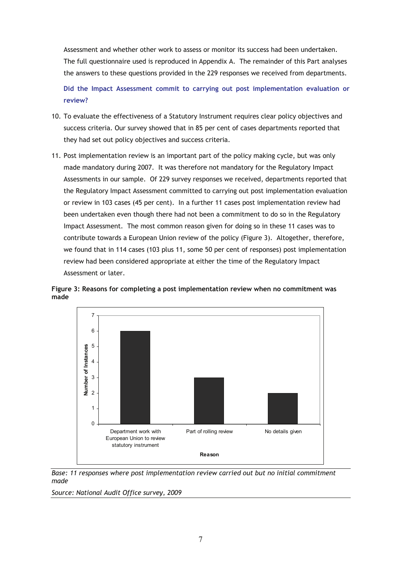Assessment and whether other work to assess or monitor its success had been undertaken. The full questionnaire used is reproduced in Appendix A. The remainder of this Part analyses the answers to these questions provided in the 229 responses we received from departments.

**Did the Impact Assessment commit to carrying out post implementation evaluation or review?** 

- 10. To evaluate the effectiveness of a Statutory Instrument requires clear policy objectives and success criteria. Our survey showed that in 85 per cent of cases departments reported that they had set out policy objectives and success criteria.
- 11. Post implementation review is an important part of the policy making cycle, but was only made mandatory during 2007. It was therefore not mandatory for the Regulatory Impact Assessments in our sample. Of 229 survey responses we received, departments reported that the Regulatory Impact Assessment committed to carrying out post implementation evaluation or review in 103 cases (45 per cent). In a further 11 cases post implementation review had been undertaken even though there had not been a commitment to do so in the Regulatory Impact Assessment. The most common reason given for doing so in these 11 cases was to contribute towards a European Union review of the policy (Figure 3). Altogether, therefore, we found that in 114 cases (103 plus 11, some 50 per cent of responses) post implementation review had been considered appropriate at either the time of the Regulatory Impact Assessment or later.





*Base: 11 responses where post implementation review carried out but no initial commitment made*

*Source: National Audit Office survey, 2009*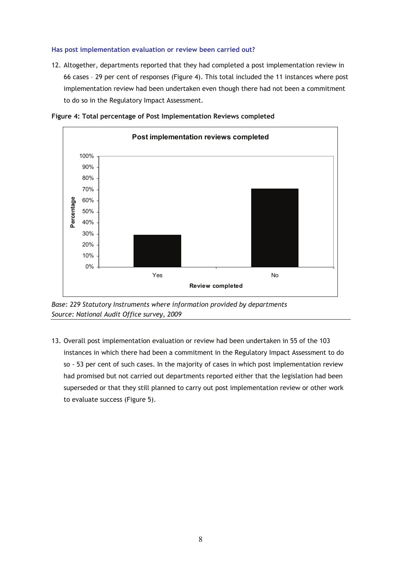#### **Has post implementation evaluation or review been carried out?**

12. Altogether, departments reported that they had completed a post implementation review in 66 cases – 29 per cent of responses (Figure 4). This total included the 11 instances where post implementation review had been undertaken even though there had not been a commitment to do so in the Regulatory Impact Assessment.



**Figure 4: Total percentage of Post Implementation Reviews completed** 

*Base: 229 Statutory Instruments where information provided by departments Source: National Audit Office survey, 2009* 

13. Overall post implementation evaluation or review had been undertaken in 55 of the 103 instances in which there had been a commitment in the Regulatory Impact Assessment to do so - 53 per cent of such cases. In the majority of cases in which post implementation review had promised but not carried out departments reported either that the legislation had been superseded or that they still planned to carry out post implementation review or other work to evaluate success (Figure 5).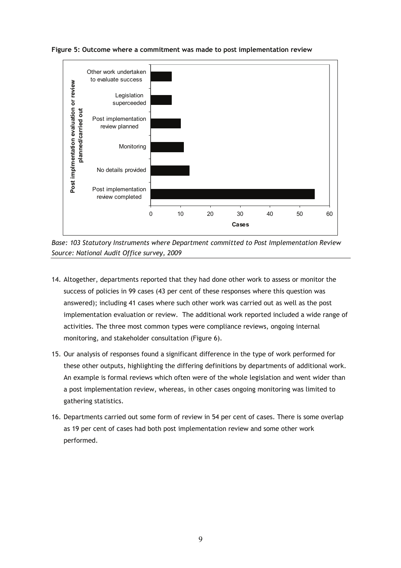

**Figure 5: Outcome where a commitment was made to post implementation review** 

*Base: 103 Statutory Instruments where Department committed to Post Implementation Review Source: National Audit Office survey, 2009* 

- 14. Altogether, departments reported that they had done other work to assess or monitor the success of policies in 99 cases (43 per cent of these responses where this question was answered); including 41 cases where such other work was carried out as well as the post implementation evaluation or review. The additional work reported included a wide range of activities. The three most common types were compliance reviews, ongoing internal monitoring, and stakeholder consultation (Figure 6).
- 15. Our analysis of responses found a significant difference in the type of work performed for these other outputs, highlighting the differing definitions by departments of additional work. An example is formal reviews which often were of the whole legislation and went wider than a post implementation review, whereas, in other cases ongoing monitoring was limited to gathering statistics.
- 16. Departments carried out some form of review in 54 per cent of cases. There is some overlap as 19 per cent of cases had both post implementation review and some other work performed.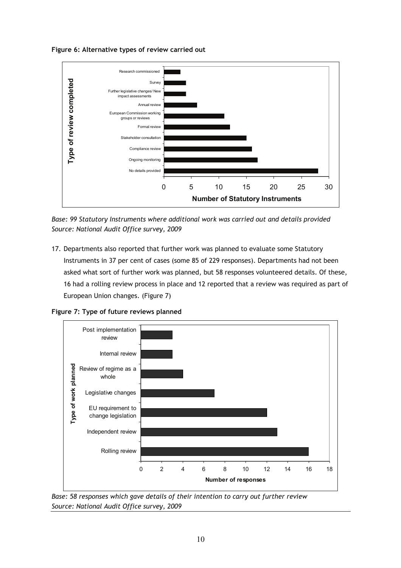**Figure 6: Alternative types of review carried out** 



*Base: 99 Statutory Instruments where additional work was carried out and details provided Source: National Audit Office survey, 2009* 

17. Departments also reported that further work was planned to evaluate some Statutory Instruments in 37 per cent of cases (some 85 of 229 responses). Departments had not been asked what sort of further work was planned, but 58 responses volunteered details. Of these, 16 had a rolling review process in place and 12 reported that a review was required as part of European Union changes. (Figure 7)





*Base: 58 responses which gave details of their intention to carry out further review Source: National Audit Office survey, 2009*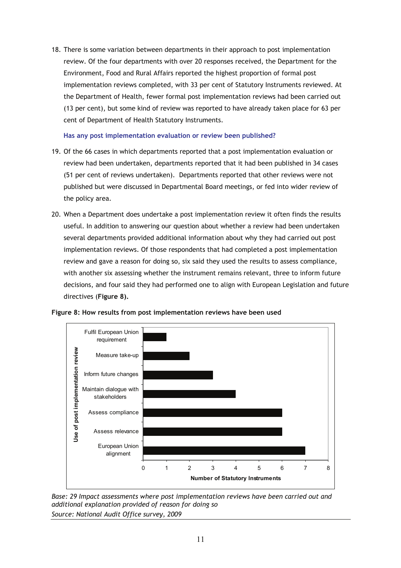18. There is some variation between departments in their approach to post implementation review. Of the four departments with over 20 responses received, the Department for the Environment, Food and Rural Affairs reported the highest proportion of formal post implementation reviews completed, with 33 per cent of Statutory Instruments reviewed. At the Department of Health, fewer formal post implementation reviews had been carried out (13 per cent), but some kind of review was reported to have already taken place for 63 per cent of Department of Health Statutory Instruments.

#### **Has any post implementation evaluation or review been published?**

- 19. Of the 66 cases in which departments reported that a post implementation evaluation or review had been undertaken, departments reported that it had been published in 34 cases (51 per cent of reviews undertaken). Departments reported that other reviews were not published but were discussed in Departmental Board meetings, or fed into wider review of the policy area.
- 20. When a Department does undertake a post implementation review it often finds the results useful. In addition to answering our question about whether a review had been undertaken several departments provided additional information about why they had carried out post implementation reviews. Of those respondents that had completed a post implementation review and gave a reason for doing so, six said they used the results to assess compliance, with another six assessing whether the instrument remains relevant, three to inform future decisions, and four said they had performed one to align with European Legislation and future directives (**Figure 8).**



**Figure 8: How results from post implementation reviews have been used** 

*Base: 29 Impact assessments where post implementation reviews have been carried out and additional explanation provided of reason for doing so Source: National Audit Office survey, 2009*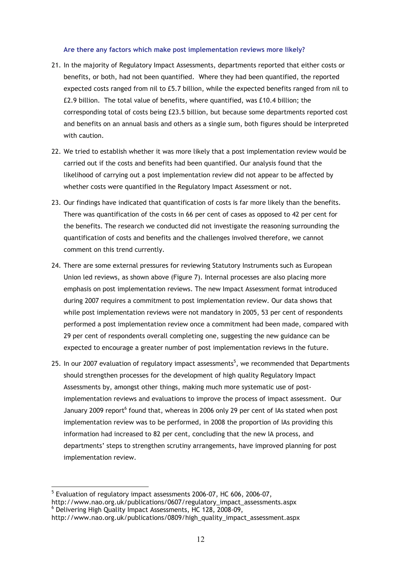#### **Are there any factors which make post implementation reviews more likely?**

- 21. In the majority of Regulatory Impact Assessments, departments reported that either costs or benefits, or both, had not been quantified. Where they had been quantified, the reported expected costs ranged from nil to £5.7 billion, while the expected benefits ranged from nil to £2.9 billion. The total value of benefits, where quantified, was £10.4 billion; the corresponding total of costs being £23.5 billion, but because some departments reported cost and benefits on an annual basis and others as a single sum, both figures should be interpreted with caution.
- 22. We tried to establish whether it was more likely that a post implementation review would be carried out if the costs and benefits had been quantified. Our analysis found that the likelihood of carrying out a post implementation review did not appear to be affected by whether costs were quantified in the Regulatory Impact Assessment or not.
- 23. Our findings have indicated that quantification of costs is far more likely than the benefits. There was quantification of the costs in 66 per cent of cases as opposed to 42 per cent for the benefits. The research we conducted did not investigate the reasoning surrounding the quantification of costs and benefits and the challenges involved therefore, we cannot comment on this trend currently.
- 24. There are some external pressures for reviewing Statutory Instruments such as European Union led reviews, as shown above (Figure 7). Internal processes are also placing more emphasis on post implementation reviews. The new Impact Assessment format introduced during 2007 requires a commitment to post implementation review. Our data shows that while post implementation reviews were not mandatory in 2005, 53 per cent of respondents performed a post implementation review once a commitment had been made, compared with 29 per cent of respondents overall completing one, suggesting the new guidance can be expected to encourage a greater number of post implementation reviews in the future.
- 25. In our 2007 evaluation of regulatory impact assessments $^5$ , we recommended that Departments should strengthen processes for the development of high quality Regulatory Impact Assessments by, amongst other things, making much more systematic use of postimplementation reviews and evaluations to improve the process of impact assessment. Our January 2009 report<sup>6</sup> found that, whereas in 2006 only 29 per cent of IAs stated when post implementation review was to be performed, in 2008 the proportion of IAs providing this information had increased to 82 per cent, concluding that the new IA process, and departments' steps to strengthen scrutiny arrangements, have improved planning for post implementation review.

 $\overline{a}$ <sup>5</sup> Evaluation of regulatory impact assessments 2006-07, HC 606, 2006-07, http://www.nao.org.uk/publications/0607/regulatory\_impact\_assessments.aspx 6 Delivering High Quality Impact Assessments, HC 128, 2008-09, http://www.nao.org.uk/publications/0809/high\_quality\_impact\_assessment.aspx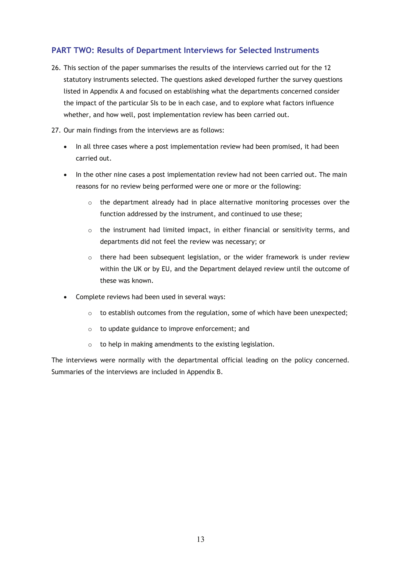# **PART TWO: Results of Department Interviews for Selected Instruments**

- 26. This section of the paper summarises the results of the interviews carried out for the 12 statutory instruments selected. The questions asked developed further the survey questions listed in Appendix A and focused on establishing what the departments concerned consider the impact of the particular SIs to be in each case, and to explore what factors influence whether, and how well, post implementation review has been carried out.
- 27. Our main findings from the interviews are as follows:
	- In all three cases where a post implementation review had been promised, it had been carried out.
	- In the other nine cases a post implementation review had not been carried out. The main reasons for no review being performed were one or more or the following:
		- $\circ$  the department already had in place alternative monitoring processes over the function addressed by the instrument, and continued to use these;
		- o the instrument had limited impact, in either financial or sensitivity terms, and departments did not feel the review was necessary; or
		- $\circ$  there had been subsequent legislation, or the wider framework is under review within the UK or by EU, and the Department delayed review until the outcome of these was known.
	- Complete reviews had been used in several ways:
		- $\circ$  to establish outcomes from the regulation, some of which have been unexpected;
		- o to update guidance to improve enforcement; and
		- o to help in making amendments to the existing legislation.

The interviews were normally with the departmental official leading on the policy concerned. Summaries of the interviews are included in Appendix B.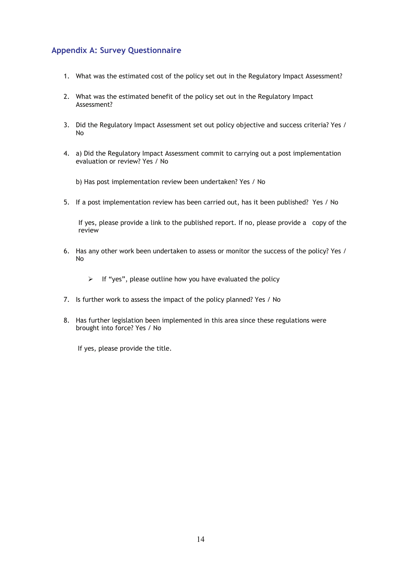# **Appendix A: Survey Questionnaire**

- 1. What was the estimated cost of the policy set out in the Regulatory Impact Assessment?
- 2. What was the estimated benefit of the policy set out in the Regulatory Impact Assessment?
- 3. Did the Regulatory Impact Assessment set out policy objective and success criteria? Yes / No
- 4. a) Did the Regulatory Impact Assessment commit to carrying out a post implementation evaluation or review? Yes / No
	- b) Has post implementation review been undertaken? Yes / No
- 5. If a post implementation review has been carried out, has it been published? Yes / No

If yes, please provide a link to the published report. If no, please provide a copy of the review

- 6. Has any other work been undertaken to assess or monitor the success of the policy? Yes / No
	- $\triangleright$  If "yes", please outline how you have evaluated the policy
- 7. Is further work to assess the impact of the policy planned? Yes / No
- 8. Has further legislation been implemented in this area since these regulations were brought into force? Yes / No

If yes, please provide the title.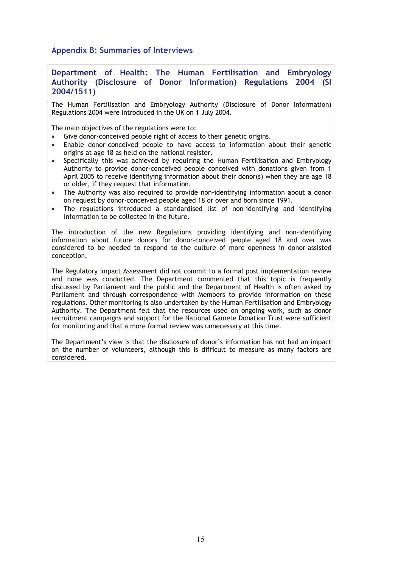**Appendix B: Summaries of Interviews** 

#### **Department of Health: The Human Fertilisation and Embryology Authority (Disclosure of Donor Information) Regulations 2004 (SI 2004/1511)**

The Human Fertilisation and Embryology Authority (Disclosure of Donor Information) Regulations 2004 were introduced in the UK on 1 July 2004.

The main objectives of the regulations were to:

- Give donor-conceived people right of access to their genetic origins.
- Enable donor-conceived people to have access to information about their genetic origins at age 18 as held on the national register.
- Specifically this was achieved by requiring the Human Fertilisation and Embryology Authority to provide donor-conceived people conceived with donations given from 1 April 2005 to receive identifying information about their donor(s) when they are age 18 or older, if they request that information.
- The Authority was also required to provide non-identifying information about a donor on request by donor-conceived people aged 18 or over and born since 1991.
- The regulations introduced a standardised list of non-identifying and identifying information to be collected in the future.

The introduction of the new Regulations providing identifying and non-identifying information about future donors for donor-conceived people aged 18 and over was considered to be needed to respond to the culture of more openness in donor-assisted conception.

The Regulatory Impact Assessment did not commit to a formal post implementation review and none was conducted. The Department commented that this topic is frequently discussed by Parliament and the public and the Department of Health is often asked by Parliament and through correspondence with Members to provide information on these regulations. Other monitoring is also undertaken by the Human Fertilisation and Embryology Authority. The Department felt that the resources used on ongoing work, such as donor recruitment campaigns and support for the National Gamete Donation Trust were sufficient for monitoring and that a more formal review was unnecessary at this time.

The Department's view is that the disclosure of donor's information has not had an impact on the number of volunteers, although this is difficult to measure as many factors are considered.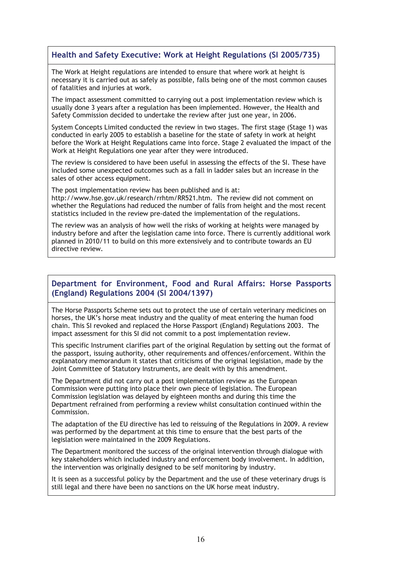# **Health and Safety Executive: Work at Height Regulations (SI 2005/735)**

The Work at Height regulations are intended to ensure that where work at height is necessary it is carried out as safely as possible, falls being one of the most common causes of fatalities and injuries at work.

The impact assessment committed to carrying out a post implementation review which is usually done 3 years after a regulation has been implemented. However, the Health and Safety Commission decided to undertake the review after just one year, in 2006.

System Concepts Limited conducted the review in two stages. The first stage (Stage 1) was conducted in early 2005 to establish a baseline for the state of safety in work at height before the Work at Height Regulations came into force. Stage 2 evaluated the impact of the Work at Height Regulations one year after they were introduced.

The review is considered to have been useful in assessing the effects of the SI. These have included some unexpected outcomes such as a fall in ladder sales but an increase in the sales of other access equipment.

The post implementation review has been published and is at:

http://www.hse.gov.uk/research/rrhtm/RR521.htm. The review did not comment on whether the Regulations had reduced the number of falls from height and the most recent statistics included in the review pre-dated the implementation of the regulations.

The review was an analysis of how well the risks of working at heights were managed by industry before and after the legislation came into force. There is currently additional work planned in 2010/11 to build on this more extensively and to contribute towards an EU directive review.

## **Department for Environment, Food and Rural Affairs: Horse Passports (England) Regulations 2004 (SI 2004/1397)**

The Horse Passports Scheme sets out to protect the use of certain veterinary medicines on horses, the UK's horse meat industry and the quality of meat entering the human food chain. This SI revoked and replaced the Horse Passport (England) Regulations 2003. The impact assessment for this SI did not commit to a post implementation review.

This specific Instrument clarifies part of the original Regulation by setting out the format of the passport, issuing authority, other requirements and offences/enforcement. Within the explanatory memorandum it states that criticisms of the original legislation, made by the Joint Committee of Statutory Instruments, are dealt with by this amendment.

The Department did not carry out a post implementation review as the European Commission were putting into place their own piece of legislation. The European Commission legislation was delayed by eighteen months and during this time the Department refrained from performing a review whilst consultation continued within the Commission.

The adaptation of the EU directive has led to reissuing of the Regulations in 2009. A review was performed by the department at this time to ensure that the best parts of the legislation were maintained in the 2009 Regulations.

The Department monitored the success of the original intervention through dialogue with key stakeholders which included industry and enforcement body involvement. In addition, the intervention was originally designed to be self monitoring by industry.

It is seen as a successful policy by the Department and the use of these veterinary drugs is still legal and there have been no sanctions on the UK horse meat industry.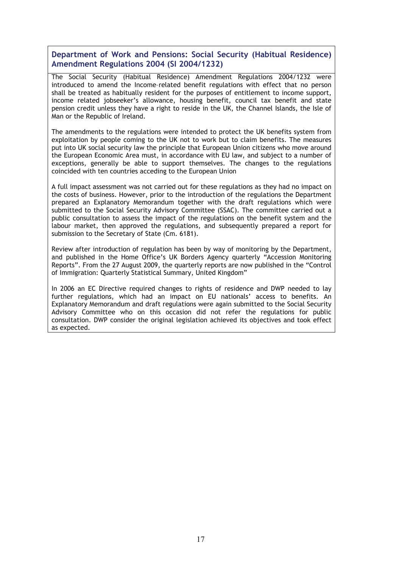**Department of Work and Pensions: Social Security (Habitual Residence) Amendment Regulations 2004 (SI 2004/1232)** 

The Social Security (Habitual Residence) Amendment Regulations 2004/1232 were introduced to amend the Income–related benefit regulations with effect that no person shall be treated as habitually resident for the purposes of entitlement to income support, income related jobseeker's allowance, housing benefit, council tax benefit and state pension credit unless they have a right to reside in the UK, the Channel Islands, the Isle of Man or the Republic of Ireland.

The amendments to the regulations were intended to protect the UK benefits system from exploitation by people coming to the UK not to work but to claim benefits. The measures put into UK social security law the principle that European Union citizens who move around the European Economic Area must, in accordance with EU law, and subject to a number of exceptions, generally be able to support themselves. The changes to the regulations coincided with ten countries acceding to the European Union

A full impact assessment was not carried out for these regulations as they had no impact on the costs of business. However, prior to the introduction of the regulations the Department prepared an Explanatory Memorandum together with the draft regulations which were submitted to the Social Security Advisory Committee (SSAC). The committee carried out a public consultation to assess the impact of the regulations on the benefit system and the labour market, then approved the regulations, and subsequently prepared a report for submission to the Secretary of State (Cm. 6181).

Review after introduction of regulation has been by way of monitoring by the Department, and published in the Home Office's UK Borders Agency quarterly "Accession Monitoring Reports". From the 27 August 2009, the quarterly reports are now published in the "Control of Immigration: Quarterly Statistical Summary, United Kingdom"

In 2006 an EC Directive required changes to rights of residence and DWP needed to lay further regulations, which had an impact on EU nationals' access to benefits. An Explanatory Memorandum and draft regulations were again submitted to the Social Security Advisory Committee who on this occasion did not refer the regulations for public consultation. DWP consider the original legislation achieved its objectives and took effect as expected.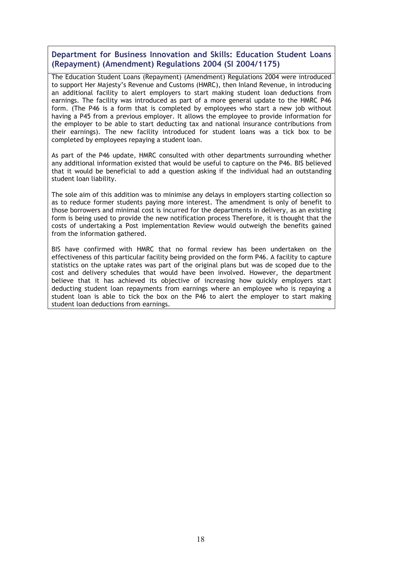**Department for Business Innovation and Skills: Education Student Loans (Repayment) (Amendment) Regulations 2004 (SI 2004/1175)** 

The Education Student Loans (Repayment) (Amendment) Regulations 2004 were introduced to support Her Majesty's Revenue and Customs (HMRC), then Inland Revenue, in introducing an additional facility to alert employers to start making student loan deductions from earnings. The facility was introduced as part of a more general update to the HMRC P46 form. (The P46 is a form that is completed by employees who start a new job without having a P45 from a previous employer. It allows the employee to provide information for the employer to be able to start deducting tax and national insurance contributions from their earnings). The new facility introduced for student loans was a tick box to be completed by employees repaying a student loan.

As part of the P46 update, HMRC consulted with other departments surrounding whether any additional information existed that would be useful to capture on the P46. BIS believed that it would be beneficial to add a question asking if the individual had an outstanding student loan liability.

The sole aim of this addition was to minimise any delays in employers starting collection so as to reduce former students paying more interest. The amendment is only of benefit to those borrowers and minimal cost is incurred for the departments in delivery, as an existing form is being used to provide the new notification process Therefore, it is thought that the costs of undertaking a Post implementation Review would outweigh the benefits gained from the information gathered.

BIS have confirmed with HMRC that no formal review has been undertaken on the effectiveness of this particular facility being provided on the form P46. A facility to capture statistics on the uptake rates was part of the original plans but was de scoped due to the cost and delivery schedules that would have been involved. However, the department believe that it has achieved its objective of increasing how quickly employers start deducting student loan repayments from earnings where an employee who is repaying a student loan is able to tick the box on the P46 to alert the employer to start making student loan deductions from earnings.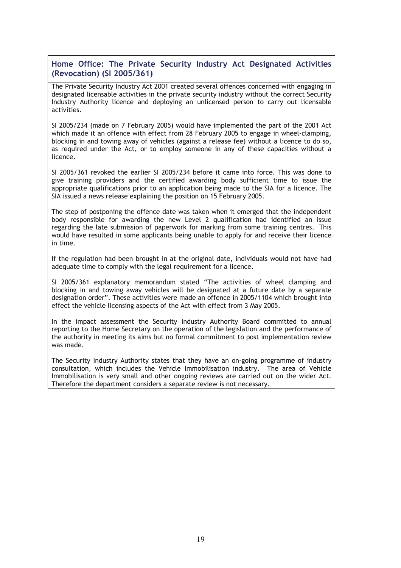## **Home Office: The Private Security Industry Act Designated Activities (Revocation) (SI 2005/361)**

The Private Security Industry Act 2001 created several offences concerned with engaging in designated licensable activities in the private security industry without the correct Security Industry Authority licence and deploying an unlicensed person to carry out licensable activities.

SI 2005/234 (made on 7 February 2005) would have implemented the part of the 2001 Act which made it an offence with effect from 28 February 2005 to engage in wheel-clamping, blocking in and towing away of vehicles (against a release fee) without a licence to do so, as required under the Act, or to employ someone in any of these capacities without a licence.

SI 2005/361 revoked the earlier SI 2005/234 before it came into force. This was done to give training providers and the certified awarding body sufficient time to issue the appropriate qualifications prior to an application being made to the SIA for a licence. The SIA issued a news release explaining the position on 15 February 2005.

The step of postponing the offence date was taken when it emerged that the independent body responsible for awarding the new Level 2 qualification had identified an issue regarding the late submission of paperwork for marking from some training centres. This would have resulted in some applicants being unable to apply for and receive their licence in time.

If the regulation had been brought in at the original date, individuals would not have had adequate time to comply with the legal requirement for a licence.

SI 2005/361 explanatory memorandum stated "The activities of wheel clamping and blocking in and towing away vehicles will be designated at a future date by a separate designation order". These activities were made an offence in 2005/1104 which brought into effect the vehicle licensing aspects of the Act with effect from 3 May 2005.

In the impact assessment the Security Industry Authority Board committed to annual reporting to the Home Secretary on the operation of the legislation and the performance of the authority in meeting its aims but no formal commitment to post implementation review was made.

The Security Industry Authority states that they have an on-going programme of industry consultation, which includes the Vehicle Immobilisation industry. The area of Vehicle Immobilisation is very small and other ongoing reviews are carried out on the wider Act. Therefore the department considers a separate review is not necessary.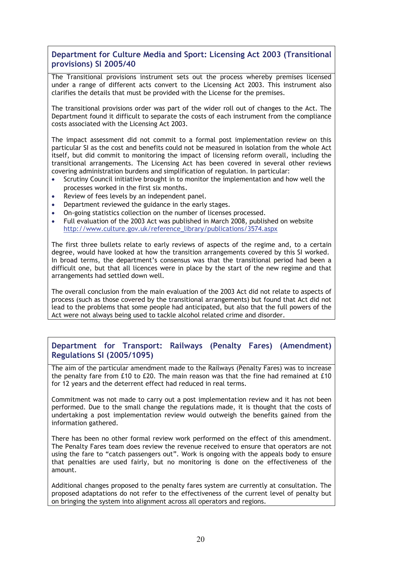## **Department for Culture Media and Sport: Licensing Act 2003 (Transitional provisions) SI 2005/40**

The Transitional provisions instrument sets out the process whereby premises licensed under a range of different acts convert to the Licensing Act 2003. This instrument also clarifies the details that must be provided with the License for the premises.

The transitional provisions order was part of the wider roll out of changes to the Act. The Department found it difficult to separate the costs of each instrument from the compliance costs associated with the Licensing Act 2003.

The impact assessment did not commit to a formal post implementation review on this particular SI as the cost and benefits could not be measured in isolation from the whole Act itself, but did commit to monitoring the impact of licensing reform overall, including the transitional arrangements. The Licensing Act has been covered in several other reviews covering administration burdens and simplification of regulation. In particular:

- Scrutiny Council initiative brought in to monitor the implementation and how well the processes worked in the first six months.
- Review of fees levels by an independent panel.
- Department reviewed the guidance in the early stages.
- On-going statistics collection on the number of licenses processed.
- Full evaluation of the 2003 Act was published in March 2008, published on website http://www.culture.gov.uk/reference\_library/publications/3574.aspx

The first three bullets relate to early reviews of aspects of the regime and, to a certain degree, would have looked at how the transition arrangements covered by this SI worked. In broad terms, the department's consensus was that the transitional period had been a difficult one, but that all licences were in place by the start of the new regime and that arrangements had settled down well.

The overall conclusion from the main evaluation of the 2003 Act did not relate to aspects of process (such as those covered by the transitional arrangements) but found that Act did not lead to the problems that some people had anticipated, but also that the full powers of the Act were not always being used to tackle alcohol related crime and disorder.

## **Department for Transport: Railways (Penalty Fares) (Amendment) Regulations SI (2005/1095)**

The aim of the particular amendment made to the Railways (Penalty Fares) was to increase the penalty fare from £10 to £20. The main reason was that the fine had remained at £10 for 12 years and the deterrent effect had reduced in real terms.

Commitment was not made to carry out a post implementation review and it has not been performed. Due to the small change the regulations made, it is thought that the costs of undertaking a post implementation review would outweigh the benefits gained from the information gathered.

There has been no other formal review work performed on the effect of this amendment. The Penalty Fares team does review the revenue received to ensure that operators are not using the fare to "catch passengers out". Work is ongoing with the appeals body to ensure that penalties are used fairly, but no monitoring is done on the effectiveness of the amount.

Additional changes proposed to the penalty fares system are currently at consultation. The proposed adaptations do not refer to the effectiveness of the current level of penalty but on bringing the system into alignment across all operators and regions.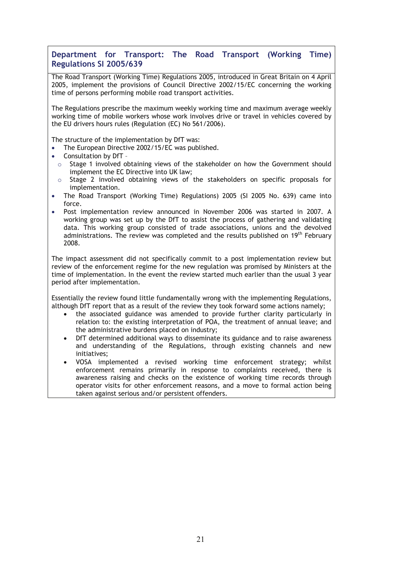## **Department for Transport: The Road Transport (Working Time) Regulations SI 2005/639**

The Road Transport (Working Time) Regulations 2005, introduced in Great Britain on 4 April 2005, implement the provisions of Council Directive 2002/15/EC concerning the working time of persons performing mobile road transport activities.

The Regulations prescribe the maximum weekly working time and maximum average weekly working time of mobile workers whose work involves drive or travel in vehicles covered by the EU drivers hours rules (Regulation (EC) No 561/2006).

The structure of the implementation by DfT was:

- The European Directive 2002/15/EC was published.
- Consultation by DfT –
- $\circ$  Stage 1 involved obtaining views of the stakeholder on how the Government should implement the EC Directive into UK law;
- $\circ$  Stage 2 involved obtaining views of the stakeholders on specific proposals for implementation.
- The Road Transport (Working Time) Regulations) 2005 (SI 2005 No. 639) came into force.
- Post implementation review announced in November 2006 was started in 2007. A working group was set up by the DfT to assist the process of gathering and validating data. This working group consisted of trade associations, unions and the devolved administrations. The review was completed and the results published on 19<sup>th</sup> February 2008.

The impact assessment did not specifically commit to a post implementation review but review of the enforcement regime for the new regulation was promised by Ministers at the time of implementation. In the event the review started much earlier than the usual 3 year period after implementation.

Essentially the review found little fundamentally wrong with the implementing Regulations, although DfT report that as a result of the review they took forward some actions namely;

- the associated guidance was amended to provide further clarity particularly in relation to: the existing interpretation of POA, the treatment of annual leave; and the administrative burdens placed on industry;
- DfT determined additional ways to disseminate its guidance and to raise awareness and understanding of the Regulations, through existing channels and new initiatives;
- VOSA implemented a revised working time enforcement strategy; whilst enforcement remains primarily in response to complaints received, there is awareness raising and checks on the existence of working time records through operator visits for other enforcement reasons, and a move to formal action being taken against serious and/or persistent offenders.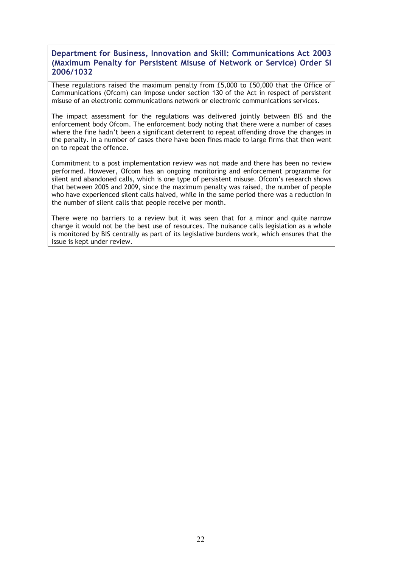### **Department for Business, Innovation and Skill: Communications Act 2003 (Maximum Penalty for Persistent Misuse of Network or Service) Order SI 2006/1032**

These regulations raised the maximum penalty from £5,000 to £50,000 that the Office of Communications (Ofcom) can impose under section 130 of the Act in respect of persistent misuse of an electronic communications network or electronic communications services.

The impact assessment for the regulations was delivered jointly between BIS and the enforcement body Ofcom. The enforcement body noting that there were a number of cases where the fine hadn't been a significant deterrent to repeat offending drove the changes in the penalty. In a number of cases there have been fines made to large firms that then went on to repeat the offence.

Commitment to a post implementation review was not made and there has been no review performed. However, Ofcom has an ongoing monitoring and enforcement programme for silent and abandoned calls, which is one type of persistent misuse. Ofcom's research shows that between 2005 and 2009, since the maximum penalty was raised, the number of people who have experienced silent calls halved, while in the same period there was a reduction in the number of silent calls that people receive per month.

There were no barriers to a review but it was seen that for a minor and quite narrow change it would not be the best use of resources. The nuisance calls legislation as a whole is monitored by BIS centrally as part of its legislative burdens work, which ensures that the issue is kept under review.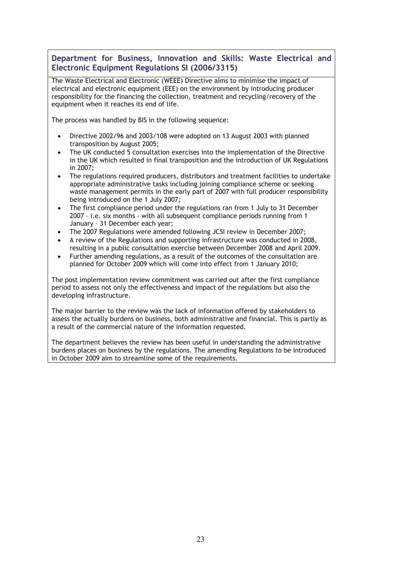**Department for Business, Innovation and Skills: Waste Electrical and Electronic Equipment Regulations SI (2006/3315)** 

The Waste Electrical and Electronic (WEEE) Directive aims to minimise the impact of electrical and electronic equipment (EEE) on the environment by introducing producer responsibility for the financing the collection, treatment and recycling/recovery of the equipment when it reaches its end of life.

The process was handled by BIS in the following sequence:

- Directive 2002/96 and 2003/108 were adopted on 13 August 2003 with planned transposition by August 2005;
- The UK conducted 5 consultation exercises into the implementation of the Directive in the UK which resulted in final transposition and the introduction of UK Regulations in 2007;
- The regulations required producers, distributors and treatment facilities to undertake appropriate administrative tasks including joining compliance scheme or seeking waste management permits in the early part of 2007 with full producer responsibility being introduced on the 1 July 2007;
- The first compliance period under the regulations ran from 1 July to 31 December 2007 – i.e. six months - with all subsequent compliance periods running from 1 January – 31 December each year;
- The 2007 Regulations were amended following JCSI review in December 2007;
- A review of the Regulations and supporting infrastructure was conducted in 2008, resulting in a public consultation exercise between December 2008 and April 2009.
- Further amending regulations, as a result of the outcomes of the consultation are planned for October 2009 which will come into effect from 1 January 2010;

The post implementation review commitment was carried out after the first compliance period to assess not only the effectiveness and impact of the regulations but also the developing infrastructure.

The major barrier to the review was the lack of information offered by stakeholders to assess the actually burdens on business, both administrative and financial. This is partly as a result of the commercial nature of the information requested.

The department believes the review has been useful in understanding the administrative burdens places on business by the regulations. The amending Regulations to be introduced in October 2009 aim to streamline some of the requirements.